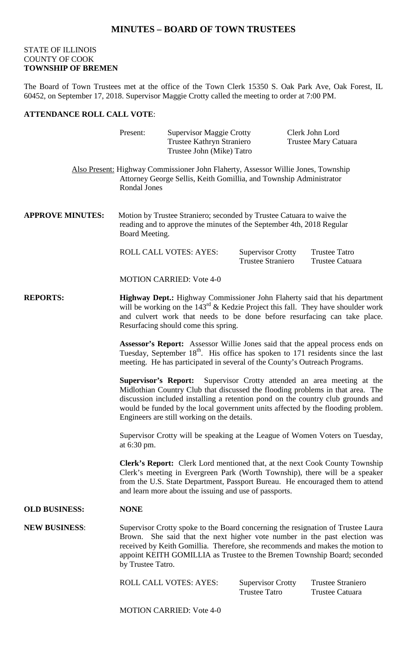## **MINUTES – BOARD OF TOWN TRUSTEES**

## STATE OF ILLINOIS COUNTY OF COOK **TOWNSHIP OF BREMEN**

The Board of Town Trustees met at the office of the Town Clerk 15350 S. Oak Park Ave, Oak Forest, IL 60452, on September 17, 2018. Supervisor Maggie Crotty called the meeting to order at 7:00 PM.

## **ATTENDANCE ROLL CALL VOTE**:

|                         | Present:                                                                                                                                                                                                                                                                                                                                                                                | <b>Supervisor Maggie Crotty</b><br>Trustee Kathryn Straniero<br>Trustee John (Mike) Tatro                                                               |                                                      | Clerk John Lord<br><b>Trustee Mary Catuara</b>     |  |
|-------------------------|-----------------------------------------------------------------------------------------------------------------------------------------------------------------------------------------------------------------------------------------------------------------------------------------------------------------------------------------------------------------------------------------|---------------------------------------------------------------------------------------------------------------------------------------------------------|------------------------------------------------------|----------------------------------------------------|--|
|                         | Rondal Jones                                                                                                                                                                                                                                                                                                                                                                            | Also Present: Highway Commissioner John Flaherty, Assessor Willie Jones, Township<br>Attorney George Sellis, Keith Gomillia, and Township Administrator |                                                      |                                                    |  |
| <b>APPROVE MINUTES:</b> | Motion by Trustee Straniero; seconded by Trustee Catuara to waive the<br>reading and to approve the minutes of the September 4th, 2018 Regular<br>Board Meeting.                                                                                                                                                                                                                        |                                                                                                                                                         |                                                      |                                                    |  |
|                         |                                                                                                                                                                                                                                                                                                                                                                                         | <b>ROLL CALL VOTES: AYES:</b>                                                                                                                           | <b>Supervisor Crotty</b><br><b>Trustee Straniero</b> | <b>Trustee Tatro</b><br><b>Trustee Catuara</b>     |  |
|                         |                                                                                                                                                                                                                                                                                                                                                                                         | <b>MOTION CARRIED: Vote 4-0</b>                                                                                                                         |                                                      |                                                    |  |
| <b>REPORTS:</b>         | Highway Dept.: Highway Commissioner John Flaherty said that his department<br>will be working on the $143^{\text{rd}}$ & Kedzie Project this fall. They have shoulder work<br>and culvert work that needs to be done before resurfacing can take place.<br>Resurfacing should come this spring.                                                                                         |                                                                                                                                                         |                                                      |                                                    |  |
|                         | Assessor's Report: Assessor Willie Jones said that the appeal process ends on<br>Tuesday, September 18 <sup>th</sup> . His office has spoken to 171 residents since the last<br>meeting. He has participated in several of the County's Outreach Programs.                                                                                                                              |                                                                                                                                                         |                                                      |                                                    |  |
|                         | <b>Supervisor's Report:</b><br>Supervisor Crotty attended an area meeting at the<br>Midlothian Country Club that discussed the flooding problems in that area. The<br>discussion included installing a retention pond on the country club grounds and<br>would be funded by the local government units affected by the flooding problem.<br>Engineers are still working on the details. |                                                                                                                                                         |                                                      |                                                    |  |
|                         | Supervisor Crotty will be speaking at the League of Women Voters on Tuesday,<br>at 6:30 pm.                                                                                                                                                                                                                                                                                             |                                                                                                                                                         |                                                      |                                                    |  |
|                         | Clerk's Report: Clerk Lord mentioned that, at the next Cook County Township<br>Clerk's meeting in Evergreen Park (Worth Township), there will be a speaker<br>from the U.S. State Department, Passport Bureau. He encouraged them to attend<br>and learn more about the issuing and use of passports.                                                                                   |                                                                                                                                                         |                                                      |                                                    |  |
| <b>OLD BUSINESS:</b>    | <b>NONE</b>                                                                                                                                                                                                                                                                                                                                                                             |                                                                                                                                                         |                                                      |                                                    |  |
| <b>NEW BUSINESS:</b>    | Supervisor Crotty spoke to the Board concerning the resignation of Trustee Laura<br>Brown. She said that the next higher vote number in the past election was<br>received by Keith Gomillia. Therefore, she recommends and makes the motion to<br>appoint KEITH GOMILLIA as Trustee to the Bremen Township Board; seconded<br>by Trustee Tatro.                                         |                                                                                                                                                         |                                                      |                                                    |  |
|                         |                                                                                                                                                                                                                                                                                                                                                                                         | <b>ROLL CALL VOTES: AYES:</b>                                                                                                                           | <b>Supervisor Crotty</b><br><b>Trustee Tatro</b>     | <b>Trustee Straniero</b><br><b>Trustee Catuara</b> |  |

MOTION CARRIED: Vote 4-0